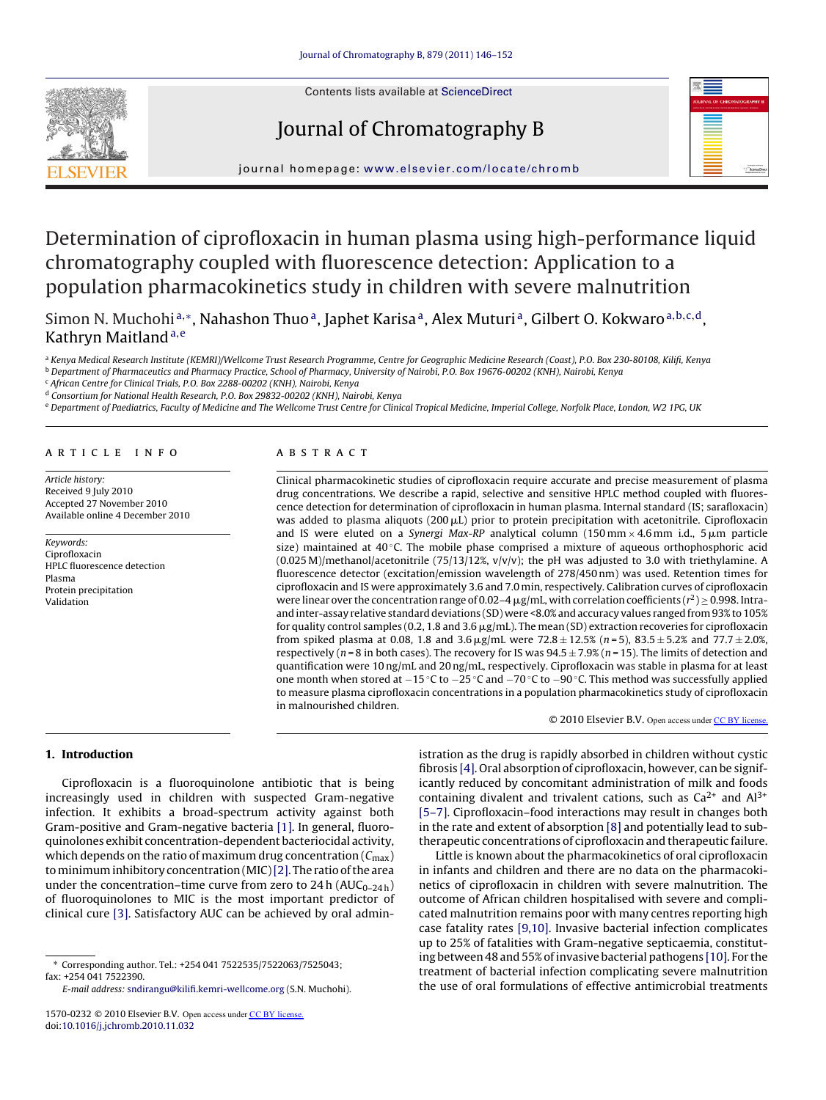

## Journal of Chromatography B



journal homepage: [www.elsevier.com/locate/chromb](http://www.elsevier.com/locate/chromb)

# Determination of ciprofloxacin in human plasma using high-performance liquid chromatography coupled with fluorescence detection: Application to a population pharmacokinetics study in children with severe malnutrition

Simon N. Muchohi<sup>a,∗</sup>, Nahashon Thuo<sup>a</sup>, Japhet Karisa<sup>a</sup>, Alex Muturi<sup>a</sup>, Gilbert O. Kokwaro<sup>a,b,c,d</sup>, Kathryn Maitland<sup>a,e</sup>

a Kenya Medical Research Institute (KEMRI)/Wellcome Trust Research Programme, Centre for Geographic Medicine Research (Coast), P.O. Box 230-80108, Kilifi, Kenya <sup>b</sup> Department of Pharmaceutics and Pharmacy Practice, School of Pharmacy, University of Nairobi, P.O. Box 19676-00202 (KNH), Nairobi, Kenya

<sup>c</sup> African Centre for Clinical Trials, P.O. Box 2288-00202 (KNH), Nairobi, Kenya

<sup>d</sup> Consortium for National Health Research, P.O. Box 29832-00202 (KNH), Nairobi, Kenya

e Department of Paediatrics, Faculty of Medicine and The Wellcome Trust Centre for Clinical Tropical Medicine, Imperial College, Norfolk Place, London, W2 1PG, UK

#### article info

Article history: Received 9 July 2010 Accepted 27 November 2010 Available online 4 December 2010

Keywords: Ciprofloxacin HPLC fluorescence detection Plasma Protein precipitation Validation

## ABSTRACT

Clinical pharmacokinetic studies of ciprofloxacin require accurate and precise measurement of plasma drug concentrations. We describe a rapid, selective and sensitive HPLC method coupled with fluorescence detection for determination of ciprofloxacin in human plasma. Internal standard (IS; sarafloxacin) was added to plasma aliquots (200  $\mu$ L) prior to protein precipitation with acetonitrile. Ciprofloxacin and IS were eluted on a *Synergi Max-RP* analytical column  $(150\,\text{mm}\times4.6\,\text{mm}$  i.d.,  $5\,\mu\text{m}$  particle size) maintained at 40 ℃. The mobile phase comprised a mixture of aqueous orthophosphoric acid  $(0.025 \text{ M})$ /methanol/acetonitrile (75/13/12%, v/v/v); the pH was adjusted to 3.0 with triethylamine. A fluorescence detector (excitation/emission wavelength of 278/450 nm) was used. Retention times for ciprofloxacin and IS were approximately 3.6 and 7.0 min, respectively. Calibration curves of ciprofloxacin were linear over the concentration range of 0.02–4  $\mu$ g/mL, with correlation coefficients ( $r^2$ )  $\geq$  0.998. Intraand inter-assay relative standard deviations (SD) were <8.0% and accuracy values ranged from 93% to 105% for quality control samples (0.2, 1.8 and 3.6  $\mu$ g/mL). The mean (SD) extraction recoveries for ciprofloxacin from spiked plasma at 0.08, 1.8 and  $3.6 \,\mathrm{\upmu g/mL}$  were  $72.8 \pm 12.5\%$  ( $n = 5$ ),  $83.5 \pm 5.2\%$  and  $77.7 \pm 2.0\%$ , respectively ( $n = 8$  in both cases). The recovery for IS was  $94.5 \pm 7.9\%$  ( $n = 15$ ). The limits of detection and quantification were 10 ng/mL and 20 ng/mL, respectively. Ciprofloxacin was stable in plasma for at least one month when stored at −15 ◦C to −25 ◦C and −70 ◦C to −90 ◦C. This method was successfully applied to measure plasma ciprofloxacin concentrations in a population pharmacokinetics study of ciprofloxacin in malnourished children.

© 2010 Elsevier B.V. Open access under [CC BY license.](http://creativecommons.org/licenses/by/3.0/)

## **1. Introduction**

Ciprofloxacin is a fluoroquinolone antibiotic that is being increasingly used in children with suspected Gram-negative infection. It exhibits a broad-spectrum activity against both Gram-positive and Gram-negative bacteria [\[1\]. I](#page-5-0)n general, fluoroquinolones exhibit concentration-dependent bacteriocidal activity, which depends on the ratio of maximum drug concentration  $(C_{\text{max}})$ tominimum inhibitory concentration (MIC)[\[2\]. T](#page-5-0)he ratio of the area under the concentration–time curve from zero to 24 h ( $AUC_{0-24h}$ ) of fluoroquinolones to MIC is the most important predictor of clinical cure [\[3\]. S](#page-5-0)atisfactory AUC can be achieved by oral admin-

E-mail address: [sndirangu@kilifi.kemri-wellcome.org](mailto:sndirangu@kilifi.kemri-wellcome.org) (S.N. Muchohi).

istration as the drug is rapidly absorbed in children without cystic fibrosis [\[4\]. O](#page-5-0)ral absorption of ciprofloxacin, however, can be significantly reduced by concomitant administration of milk and foods containing divalent and trivalent cations, such as  $Ca^{2+}$  and  $Al^{3+}$ [\[5–7\]. C](#page-5-0)iprofloxacin–food interactions may result in changes both in the rate and extent of absorption [\[8\]](#page-5-0) and potentially lead to subtherapeutic concentrations of ciprofloxacin and therapeutic failure.

Little is known about the pharmacokinetics of oral ciprofloxacin in infants and children and there are no data on the pharmacokinetics of ciprofloxacin in children with severe malnutrition. The outcome of African children hospitalised with severe and complicated malnutrition remains poor with many centres reporting high case fatality rates [\[9,10\]. I](#page-6-0)nvasive bacterial infection complicates up to 25% of fatalities with Gram-negative septicaemia, constituting between 48 and 55% of invasive bacterial pathogens [\[10\]. F](#page-6-0)or the treatment of bacterial infection complicating severe malnutrition the use of oral formulations of effective antimicrobial treatments

<sup>∗</sup> Corresponding author. Tel.: +254 041 7522535/7522063/7525043; fax: +254 041 7522390.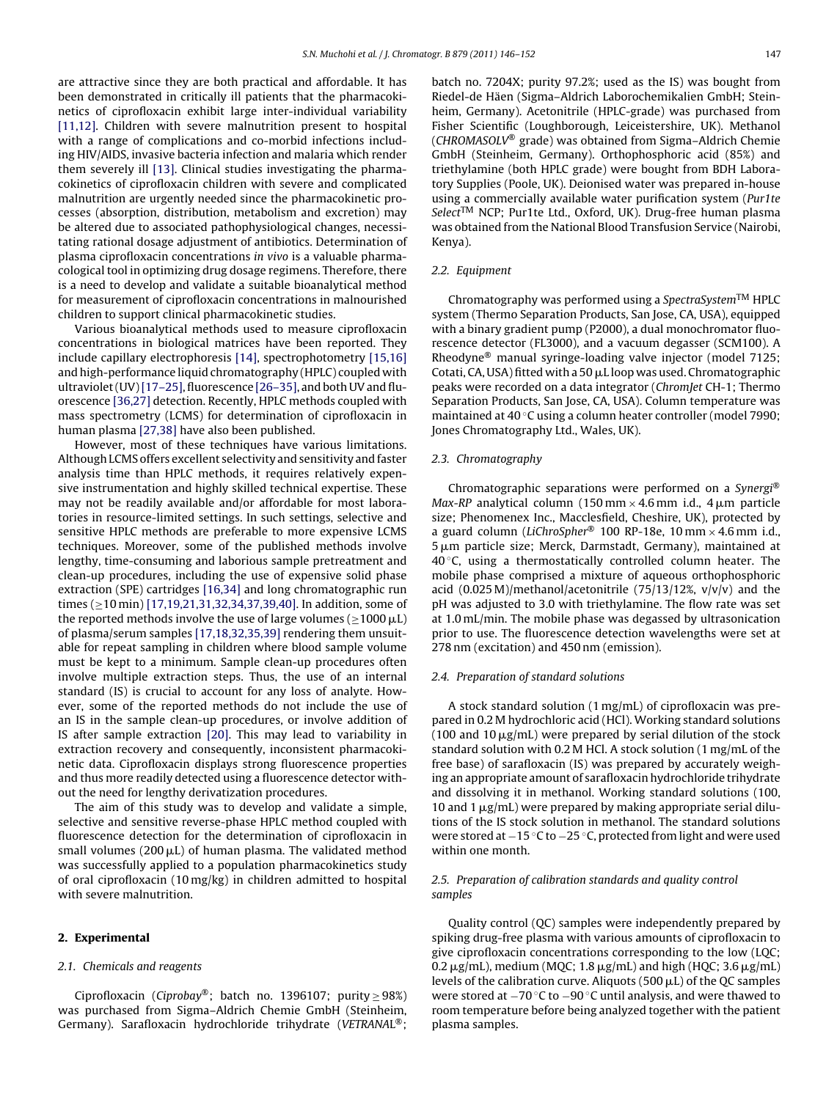<span id="page-1-0"></span>are attractive since they are both practical and affordable. It has been demonstrated in critically ill patients that the pharmacokinetics of ciprofloxacin exhibit large inter-individual variability [\[11,12\].](#page-6-0) Children with severe malnutrition present to hospital with a range of complications and co-morbid infections including HIV/AIDS, invasive bacteria infection and malaria which render them severely ill [\[13\]. C](#page-6-0)linical studies investigating the pharmacokinetics of ciprofloxacin children with severe and complicated malnutrition are urgently needed since the pharmacokinetic processes (absorption, distribution, metabolism and excretion) may be altered due to associated pathophysiological changes, necessitating rational dosage adjustment of antibiotics. Determination of plasma ciprofloxacin concentrations in vivo is a valuable pharmacological tool in optimizing drug dosage regimens. Therefore, there is a need to develop and validate a suitable bioanalytical method for measurement of ciprofloxacin concentrations in malnourished children to support clinical pharmacokinetic studies.

Various bioanalytical methods used to measure ciprofloxacin concentrations in biological matrices have been reported. They include capillary electrophoresis [\[14\], s](#page-6-0)pectrophotometry [\[15,16\]](#page-6-0) and high-performance liquid chromatography (HPLC) coupled with ultraviolet (UV)[\[17–25\], fl](#page-6-0)uorescence [\[26–35\], a](#page-6-0)nd both UV and fluorescence [\[36,27\]](#page-6-0) detection. Recently, HPLC methods coupled with mass spectrometry (LCMS) for determination of ciprofloxacin in human plasma [\[27,38\]](#page-6-0) have also been published.

However, most of these techniques have various limitations. Although LCMS offers excellent selectivity and sensitivity and faster analysis time than HPLC methods, it requires relatively expensive instrumentation and highly skilled technical expertise. These may not be readily available and/or affordable for most laboratories in resource-limited settings. In such settings, selective and sensitive HPLC methods are preferable to more expensive LCMS techniques. Moreover, some of the published methods involve lengthy, time-consuming and laborious sample pretreatment and clean-up procedures, including the use of expensive solid phase extraction (SPE) cartridges [\[16,34\]](#page-6-0) and long chromatographic run times (≥10 min) [\[17,19,21,31,32,34,37,39,40\]. I](#page-6-0)n addition, some of the reported methods involve the use of large volumes ( $\geq$ 1000  $\mu$ L) of plasma/serum samples [\[17,18,32,35,39\]](#page-6-0) rendering them unsuitable for repeat sampling in children where blood sample volume must be kept to a minimum. Sample clean-up procedures often involve multiple extraction steps. Thus, the use of an internal standard (IS) is crucial to account for any loss of analyte. However, some of the reported methods do not include the use of an IS in the sample clean-up procedures, or involve addition of IS after sample extraction [\[20\].](#page-6-0) This may lead to variability in extraction recovery and consequently, inconsistent pharmacokinetic data. Ciprofloxacin displays strong fluorescence properties and thus more readily detected using a fluorescence detector without the need for lengthy derivatization procedures.

The aim of this study was to develop and validate a simple, selective and sensitive reverse-phase HPLC method coupled with fluorescence detection for the determination of ciprofloxacin in small volumes (200  $\mu$ L) of human plasma. The validated method was successfully applied to a population pharmacokinetics study of oral ciprofloxacin (10 mg/kg) in children admitted to hospital with severe malnutrition.

## **2. Experimental**

## 2.1. Chemicals and reagents

Ciprofloxacin (Ciprobay®; batch no. 1396107; purity  $\geq$  98%) was purchased from Sigma–Aldrich Chemie GmbH (Steinheim, Germany). Sarafloxacin hydrochloride trihydrate (VETRANAL®; batch no. 7204X; purity 97.2%; used as the IS) was bought from Riedel-de Häen (Sigma–Aldrich Laborochemikalien GmbH; Steinheim, Germany). Acetonitrile (HPLC-grade) was purchased from Fisher Scientific (Loughborough, Leiceistershire, UK). Methanol (CHROMASOLV® grade) was obtained from Sigma–Aldrich Chemie GmbH (Steinheim, Germany). Orthophosphoric acid (85%) and triethylamine (both HPLC grade) were bought from BDH Laboratory Supplies (Poole, UK). Deionised water was prepared in-house using a commercially available water purification system (Pur1te Select<sup>TM</sup> NCP; Pur1te Ltd., Oxford, UK). Drug-free human plasma was obtained from the National Blood Transfusion Service (Nairobi, Kenya).

## 2.2. Equipment

Chromatography was performed using a SpectraSystem<sup>TM</sup> HPLC system (Thermo Separation Products, San Jose, CA, USA), equipped with a binary gradient pump (P2000), a dual monochromator fluorescence detector (FL3000), and a vacuum degasser (SCM100). A Rheodyne® manual syringe-loading valve injector (model 7125; Cotati, CA, USA) fitted with a 50  $\mu$ L loop was used. Chromatographic peaks were recorded on a data integrator (ChromJet CH-1; Thermo Separation Products, San Jose, CA, USA). Column temperature was maintained at 40 ◦C using a column heater controller (model 7990; Jones Chromatography Ltd., Wales, UK).

## 2.3. Chromatography

Chromatographic separations were performed on a Synergi<sup>®</sup> Max-RP analytical column (150 mm $\times$  4.6 mm i.d., 4 µm particle size; Phenomenex Inc., Macclesfield, Cheshire, UK), protected by a guard column (LiChroSpher® 100 RP-18e, 10 mm  $\times$  4.6 mm i.d.,  $5 \,\mu \mathrm{m}$  particle size; Merck, Darmstadt, Germany), maintained at  $40^{\circ}$ C, using a thermostatically controlled column heater. The mobile phase comprised a mixture of aqueous orthophosphoric acid (0.025 M)/methanol/acetonitrile (75/13/12%, v/v/v) and the pH was adjusted to 3.0 with triethylamine. The flow rate was set at 1.0 mL/min. The mobile phase was degassed by ultrasonication prior to use. The fluorescence detection wavelengths were set at 278 nm (excitation) and 450 nm (emission).

#### 2.4. Preparation of standard solutions

A stock standard solution (1 mg/mL) of ciprofloxacin was prepared in 0.2 M hydrochloric acid (HCl). Working standard solutions (100 and 10  $\mu$ g/mL) were prepared by serial dilution of the stock standard solution with 0.2 M HCl. A stock solution (1 mg/mL of the free base) of sarafloxacin (IS) was prepared by accurately weighing an appropriate amount of sarafloxacin hydrochloride trihydrate and dissolving it in methanol. Working standard solutions (100, 10 and 1  $\mu$ g/mL) were prepared by making appropriate serial dilutions of the IS stock solution in methanol. The standard solutions were stored at −15 °C to −25 °C, protected from light and were used within one month.

## 2.5. Preparation of calibration standards and quality control samples

Quality control (QC) samples were independently prepared by spiking drug-free plasma with various amounts of ciprofloxacin to give ciprofloxacin concentrations corresponding to the low (LQC;  $0.2 \,\mathrm{\mu g/mL}$ , medium (MQC; 1.8  $\mathrm{\mu g/mL}$ ) and high (HQC; 3.6  $\mathrm{\mu g/mL}$ ) levels of the calibration curve. Aliquots (500  $\mu$ L) of the QC samples were stored at −70 °C to −90 °C until analysis, and were thawed to room temperature before being analyzed together with the patient plasma samples.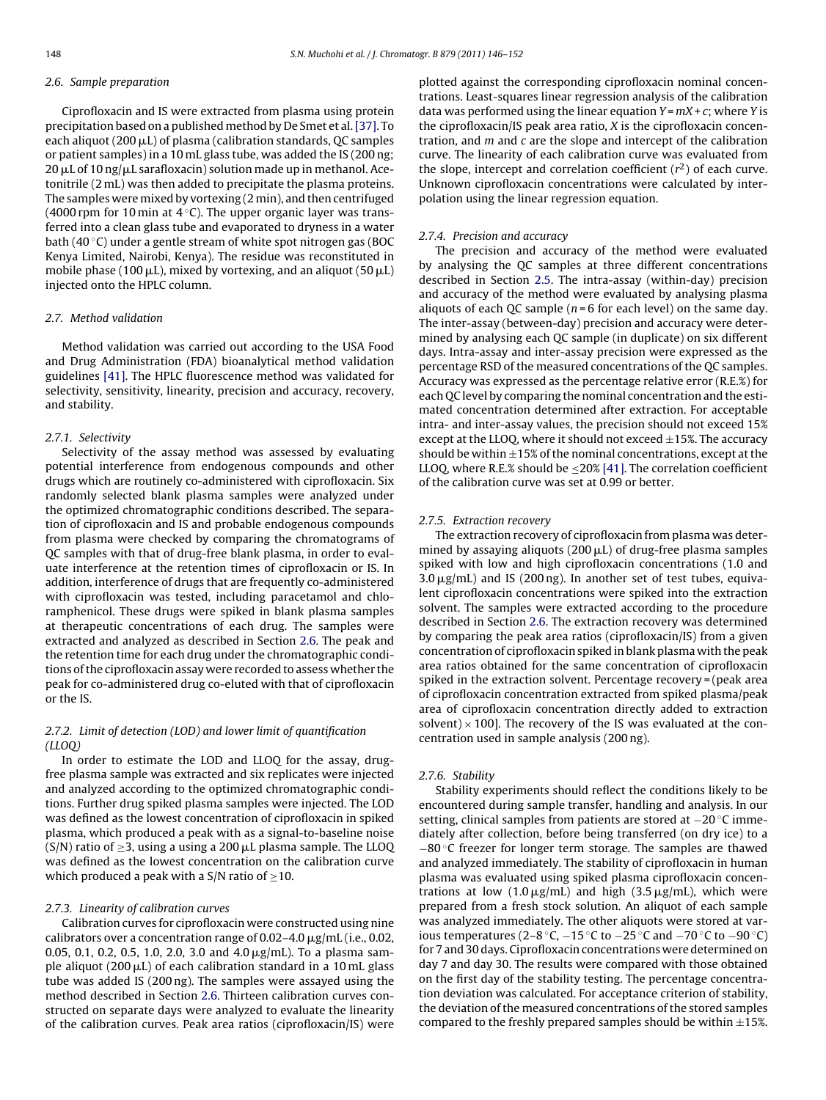#### 2.6. Sample preparation

Ciprofloxacin and IS were extracted from plasma using protein precipitation based on a published method by De Smet et al.[\[37\]. T](#page-6-0)o each aliquot (200  $\mu$ L) of plasma (calibration standards, QC samples or patient samples) in a 10 mL glass tube, was added the IS (200 ng; 20 µL of 10 ng/µL sarafloxacin) solution made up in methanol. Acetonitrile (2 mL) was then added to precipitate the plasma proteins. The samples were mixed by vortexing (2 min), and then centrifuged (4000 rpm for 10 min at  $4^{\circ}$ C). The upper organic layer was transferred into a clean glass tube and evaporated to dryness in a water bath (40 ◦C) under a gentle stream of white spot nitrogen gas (BOC Kenya Limited, Nairobi, Kenya). The residue was reconstituted in mobile phase (100  $\mu$ L), mixed by vortexing, and an aliquot (50  $\mu$ L) injected onto the HPLC column.

## 2.7. Method validation

Method validation was carried out according to the USA Food and Drug Administration (FDA) bioanalytical method validation guidelines [\[41\]. T](#page-6-0)he HPLC fluorescence method was validated for selectivity, sensitivity, linearity, precision and accuracy, recovery, and stability.

## 2.7.1. Selectivity

Selectivity of the assay method was assessed by evaluating potential interference from endogenous compounds and other drugs which are routinely co-administered with ciprofloxacin. Six randomly selected blank plasma samples were analyzed under the optimized chromatographic conditions described. The separation of ciprofloxacin and IS and probable endogenous compounds from plasma were checked by comparing the chromatograms of QC samples with that of drug-free blank plasma, in order to evaluate interference at the retention times of ciprofloxacin or IS. In addition, interference of drugs that are frequently co-administered with ciprofloxacin was tested, including paracetamol and chloramphenicol. These drugs were spiked in blank plasma samples at therapeutic concentrations of each drug. The samples were extracted and analyzed as described in Section 2.6. The peak and the retention time for each drug under the chromatographic conditions of the ciprofloxacin assay were recorded to assess whether the peak for co-administered drug co-eluted with that of ciprofloxacin or the IS.

## 2.7.2. Limit of detection (LOD) and lower limit of quantification (LLOQ)

In order to estimate the LOD and LLOQ for the assay, drugfree plasma sample was extracted and six replicates were injected and analyzed according to the optimized chromatographic conditions. Further drug spiked plasma samples were injected. The LOD was defined as the lowest concentration of ciprofloxacin in spiked plasma, which produced a peak with as a signal-to-baseline noise (S/N) ratio of  $\geq$ 3, using a using a 200  $\mu$ L plasma sample. The LLOQ was defined as the lowest concentration on the calibration curve which produced a peak with a S/N ratio of  $\geq$ 10.

#### 2.7.3. Linearity of calibration curves

Calibration curves for ciprofloxacin were constructed using nine calibrators over a concentration range of 0.02-4.0  $\rm \mu g/mL$  (i.e., 0.02, 0.05, 0.1, 0.2, 0.5, 1.0, 2.0, 3.0 and 4.0  $\mu$ g/mL). To a plasma sample aliquot (200  $\rm \mu L)$  of each calibration standard in a 10 mL glass tube was added IS (200 ng). The samples were assayed using the method described in Section 2.6. Thirteen calibration curves constructed on separate days were analyzed to evaluate the linearity of the calibration curves. Peak area ratios (ciprofloxacin/IS) were plotted against the corresponding ciprofloxacin nominal concentrations. Least-squares linear regression analysis of the calibration data was performed using the linear equation  $Y = mX + c$ ; where Y is the ciprofloxacin/IS peak area ratio, X is the ciprofloxacin concentration, and  $m$  and  $c$  are the slope and intercept of the calibration curve. The linearity of each calibration curve was evaluated from the slope, intercept and correlation coefficient  $(r^2)$  of each curve. Unknown ciprofloxacin concentrations were calculated by interpolation using the linear regression equation.

#### 2.7.4. Precision and accuracy

The precision and accuracy of the method were evaluated by analysing the QC samples at three different concentrations described in Section [2.5.](#page-1-0) The intra-assay (within-day) precision and accuracy of the method were evaluated by analysing plasma aliquots of each OC sample ( $n = 6$  for each level) on the same day. The inter-assay (between-day) precision and accuracy were determined by analysing each QC sample (in duplicate) on six different days. Intra-assay and inter-assay precision were expressed as the percentage RSD of the measured concentrations of the QC samples. Accuracy was expressed as the percentage relative error (R.E.%) for each QC level by comparing the nominal concentration and the estimated concentration determined after extraction. For acceptable intra- and inter-assay values, the precision should not exceed 15% except at the LLOQ, where it should not exceed  $\pm$ 15%. The accuracy should be within  $\pm 15\%$  of the nominal concentrations, except at the LLOQ, where R.E.% should be  $\leq$ 20% [\[41\]. T](#page-6-0)he correlation coefficient of the calibration curve was set at 0.99 or better.

#### 2.7.5. Extraction recovery

The extraction recovery of ciprofloxacin from plasma was determined by assaying aliquots (200  $\mu$ L) of drug-free plasma samples spiked with low and high ciprofloxacin concentrations (1.0 and  $3.0 \,\mathrm{\mu g/mL}$ ) and IS (200 ng). In another set of test tubes, equivalent ciprofloxacin concentrations were spiked into the extraction solvent. The samples were extracted according to the procedure described in Section 2.6. The extraction recovery was determined by comparing the peak area ratios (ciprofloxacin/IS) from a given concentration of ciprofloxacin spiked in blank plasma with the peak area ratios obtained for the same concentration of ciprofloxacin spiked in the extraction solvent. Percentage recovery = (peak area of ciprofloxacin concentration extracted from spiked plasma/peak area of ciprofloxacin concentration directly added to extraction solvent)  $\times$  100]. The recovery of the IS was evaluated at the concentration used in sample analysis (200 ng).

#### 2.7.6. Stability

Stability experiments should reflect the conditions likely to be encountered during sample transfer, handling and analysis. In our setting, clinical samples from patients are stored at −20 °C immediately after collection, before being transferred (on dry ice) to a −80 ◦C freezer for longer term storage. The samples are thawed and analyzed immediately. The stability of ciprofloxacin in human plasma was evaluated using spiked plasma ciprofloxacin concentrations at low (1.0  $\mu$ g/mL) and high (3.5  $\mu$ g/mL), which were prepared from a fresh stock solution. An aliquot of each sample was analyzed immediately. The other aliquots were stored at various temperatures (2–8 °C, –15 °C to –25 °C and –70 °C to –90 °C) for 7 and 30 days. Ciprofloxacin concentrations were determined on day 7 and day 30. The results were compared with those obtained on the first day of the stability testing. The percentage concentration deviation was calculated. For acceptance criterion of stability, the deviation of the measured concentrations of the stored samples compared to the freshly prepared samples should be within  $\pm 15$ %.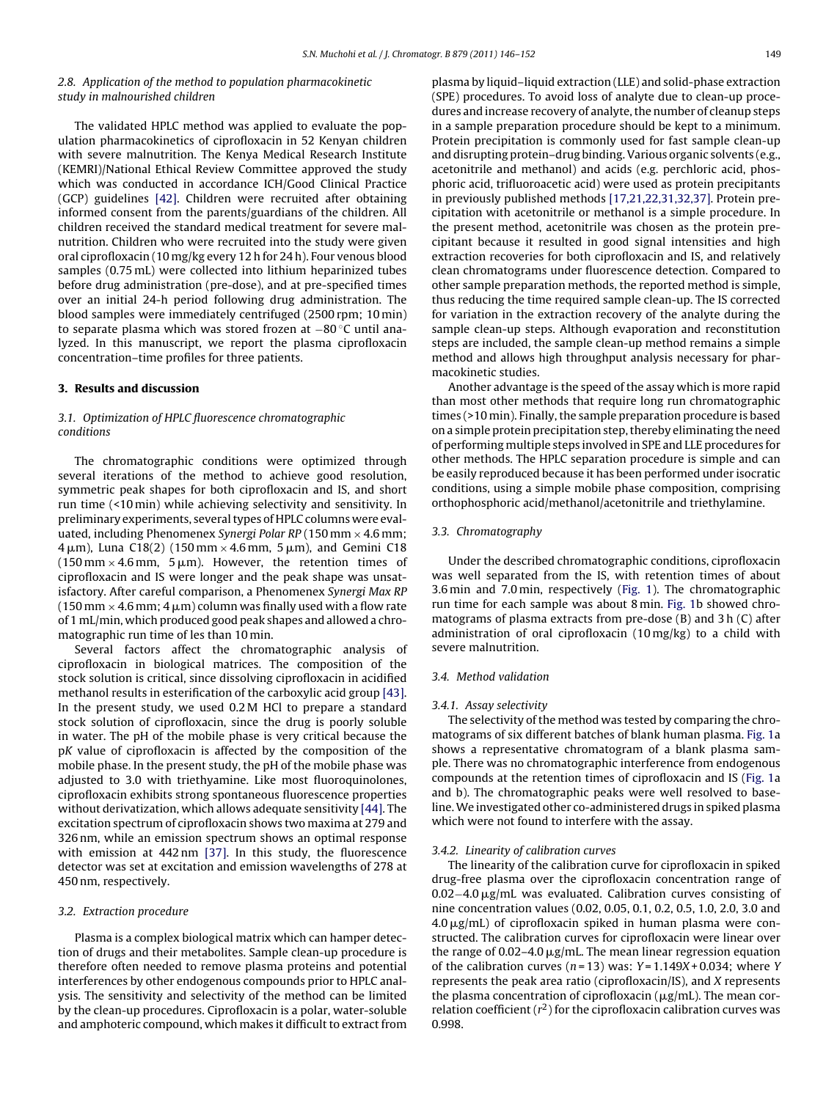## 2.8. Application of the method to population pharmacokinetic study in malnourished children

The validated HPLC method was applied to evaluate the population pharmacokinetics of ciprofloxacin in 52 Kenyan children with severe malnutrition. The Kenya Medical Research Institute (KEMRI)/National Ethical Review Committee approved the study which was conducted in accordance ICH/Good Clinical Practice (GCP) guidelines [\[42\].](#page-6-0) Children were recruited after obtaining informed consent from the parents/guardians of the children. All children received the standard medical treatment for severe malnutrition. Children who were recruited into the study were given oral ciprofloxacin (10 mg/kg every 12 h for 24 h). Four venous blood samples (0.75 mL) were collected into lithium heparinized tubes before drug administration (pre-dose), and at pre-specified times over an initial 24-h period following drug administration. The blood samples were immediately centrifuged (2500 rpm; 10 min) to separate plasma which was stored frozen at −80 ◦C until analyzed. In this manuscript, we report the plasma ciprofloxacin concentration–time profiles for three patients.

## **3. Results and discussion**

## 3.1. Optimization of HPLC fluorescence chromatographic conditions

The chromatographic conditions were optimized through several iterations of the method to achieve good resolution, symmetric peak shapes for both ciprofloxacin and IS, and short run time (<10 min) while achieving selectivity and sensitivity. In preliminary experiments, several types of HPLC columns were evaluated, including Phenomenex Synergi Polar RP (150 mm  $\times$  4.6 mm;  $4\,\mu$ m), Luna C $18(2)$  (150 mm $\times 4.6$  mm, 5  $\mu$ m), and Gemini C $18$  $(150 \,\mathrm{mm} \times 4.6 \,\mathrm{mm}, \, 5 \,\mathrm{\mu m})$ . However, the retention times of ciprofloxacin and IS were longer and the peak shape was unsatisfactory. After careful comparison, a Phenomenex Synergi Max RP  $(150\,\mathrm{mm}\times 4.6\,\mathrm{mm}$ ;  $4\,\mathrm{\mu m})$  column was finally used with a flow rate of 1 mL/min, which produced good peak shapes and allowed a chromatographic run time of les than 10 min.

Several factors affect the chromatographic analysis of ciprofloxacin in biological matrices. The composition of the stock solution is critical, since dissolving ciprofloxacin in acidified methanol results in esterification of the carboxylic acid group [\[43\].](#page-6-0) In the present study, we used 0.2 M HCl to prepare a standard stock solution of ciprofloxacin, since the drug is poorly soluble in water. The pH of the mobile phase is very critical because the pK value of ciprofloxacin is affected by the composition of the mobile phase. In the present study, the pH of the mobile phase was adjusted to 3.0 with triethyamine. Like most fluoroquinolones, ciprofloxacin exhibits strong spontaneous fluorescence properties without derivatization, which allows adequate sensitivity [\[44\]. T](#page-6-0)he excitation spectrum of ciprofloxacin shows two maxima at 279 and 326 nm, while an emission spectrum shows an optimal response with emission at 442 nm [\[37\].](#page-6-0) In this study, the fluorescence detector was set at excitation and emission wavelengths of 278 at 450 nm, respectively.

## 3.2. Extraction procedure

Plasma is a complex biological matrix which can hamper detection of drugs and their metabolites. Sample clean-up procedure is therefore often needed to remove plasma proteins and potential interferences by other endogenous compounds prior to HPLC analysis. The sensitivity and selectivity of the method can be limited by the clean-up procedures. Ciprofloxacin is a polar, water-soluble and amphoteric compound, which makes it difficult to extract from plasma by liquid–liquid extraction (LLE) and solid-phase extraction (SPE) procedures. To avoid loss of analyte due to clean-up procedures and increase recovery of analyte, the number of cleanup steps in a sample preparation procedure should be kept to a minimum. Protein precipitation is commonly used for fast sample clean-up and disrupting protein–drug binding. Various organic solvents (e.g., acetonitrile and methanol) and acids (e.g. perchloric acid, phosphoric acid, trifluoroacetic acid) were used as protein precipitants in previously published methods [\[17,21,22,31,32,37\]. P](#page-6-0)rotein precipitation with acetonitrile or methanol is a simple procedure. In the present method, acetonitrile was chosen as the protein precipitant because it resulted in good signal intensities and high extraction recoveries for both ciprofloxacin and IS, and relatively clean chromatograms under fluorescence detection. Compared to other sample preparation methods, the reported method is simple, thus reducing the time required sample clean-up. The IS corrected for variation in the extraction recovery of the analyte during the sample clean-up steps. Although evaporation and reconstitution steps are included, the sample clean-up method remains a simple method and allows high throughput analysis necessary for pharmacokinetic studies.

Another advantage is the speed of the assay which is more rapid than most other methods that require long run chromatographic times (>10 min). Finally, the sample preparation procedure is based on a simple protein precipitation step, thereby eliminating the need of performing multiple steps involved in SPE and LLE procedures for other methods. The HPLC separation procedure is simple and can be easily reproduced because it has been performed under isocratic conditions, using a simple mobile phase composition, comprising orthophosphoric acid/methanol/acetonitrile and triethylamine.

#### 3.3. Chromatography

Under the described chromatographic conditions, ciprofloxacin was well separated from the IS, with retention times of about 3.6 min and 7.0 min, respectively ([Fig. 1\).](#page-4-0) The chromatographic run time for each sample was about 8 min. [Fig. 1b](#page-4-0) showed chromatograms of plasma extracts from pre-dose (B) and 3 h (C) after administration of oral ciprofloxacin (10 mg/kg) to a child with severe malnutrition.

#### 3.4. Method validation

#### 3.4.1. Assay selectivity

The selectivity of the method was tested by comparing the chromatograms of six different batches of blank human plasma. [Fig. 1a](#page-4-0) shows a representative chromatogram of a blank plasma sample. There was no chromatographic interference from endogenous compounds at the retention times of ciprofloxacin and IS [\(Fig. 1a](#page-4-0) and b). The chromatographic peaks were well resolved to baseline.We investigated other co-administered drugs in spiked plasma which were not found to interfere with the assay.

#### 3.4.2. Linearity of calibration curves

The linearity of the calibration curve for ciprofloxacin in spiked drug-free plasma over the ciprofloxacin concentration range of 0.02−4.0 µg/mL was evaluated. Calibration curves consisting of nine concentration values (0.02, 0.05, 0.1, 0.2, 0.5, 1.0, 2.0, 3.0 and  $4.0 \,\mathrm{\mu g/mL}$  of ciprofloxacin spiked in human plasma were constructed. The calibration curves for ciprofloxacin were linear over the range of 0.02–4.0  $\mu$ g/mL. The mean linear regression equation of the calibration curves ( $n = 13$ ) was:  $Y = 1.149X + 0.034$ ; where Y represents the peak area ratio (ciprofloxacin/IS), and X represents the plasma concentration of ciprofloxacin ( $\mu$ g/mL). The mean correlation coefficient  $(r^2)$  for the ciprofloxacin calibration curves was 0.998.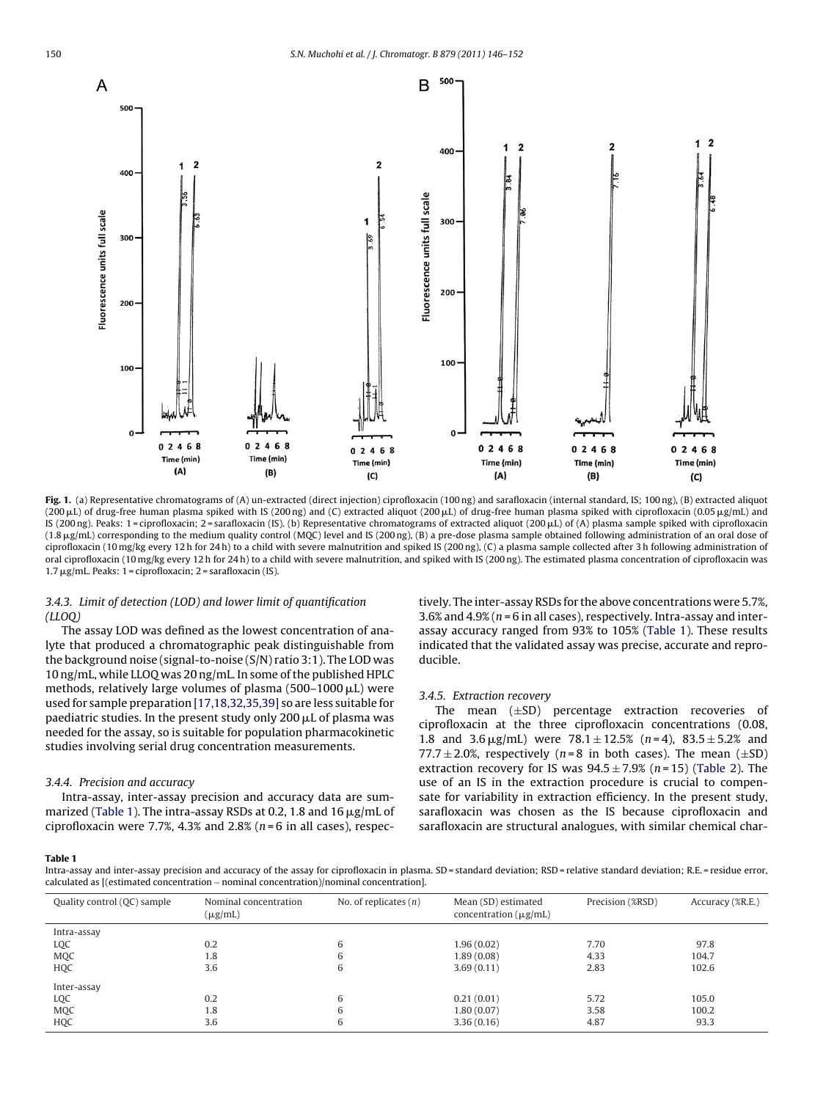<span id="page-4-0"></span>

**Fig. 1.** (a) Representative chromatograms of (A) un-extracted (direct injection) ciprofloxacin (100 ng) and sarafloxacin (internal standard, IS; 100 ng), (B) extracted aliquot (200 µL) of drug-free human plasma spiked with IS (200 ng) and (C) extracted aliquot (200 µL) of drug-free human plasma spiked with ciprofloxacin (0.05 µg/mL) and lS (200 ng). Peaks: 1=ciprofloxacin; 2=sarafloxacin (IS). (b) Representative chromatograms of extracted aliquot (200 µL) of (A) plasma sample spiked with ciprofloxacin (1.8 µg/mL) corresponding to the medium quality control (MQC) level and IS (200 ng), (B) a pre-dose plasma sample obtained following administration of an oral dose of ciprofloxacin (10 mg/kg every 12 h for 24 h) to a child with severe malnutrition and spiked IS (200 ng), (C) a plasma sample collected after 3 h following administration of oral ciprofloxacin (10 mg/kg every 12 h for 24 h) to a child with severe malnutrition, and spiked with IS (200 ng). The estimated plasma concentration of ciprofloxacin was 1.7 μg/mL. Peaks: 1 = ciprofloxacin; 2 = sarafloxacin (IS).

## 3.4.3. Limit of detection (LOD) and lower limit of quantification  $(LLOO)$

The assay LOD was defined as the lowest concentration of analyte that produced a chromatographic peak distinguishable from the background noise (signal-to-noise (S/N) ratio 3:1). The LOD was 10 ng/mL, while LLOQ was 20 ng/mL. In some of the published HPLC methods, relatively large volumes of plasma (500–1000  $\mu$ L) were used for sample preparation [\[17,18,32,35,39\]](#page-6-0) so are less suitable for paediatric studies. In the present study only 200  $\rm \mu L$  of plasma was needed for the assay, so is suitable for population pharmacokinetic studies involving serial drug concentration measurements.

#### 3.4.4. Precision and accuracy

Intra-assay, inter-assay precision and accuracy data are summarized (Table 1). The intra-assay RSDs at 0.2, 1.8 and 16  $\rm \mu g/mL$  of ciprofloxacin were 7.7%, 4.3% and 2.8% ( $n = 6$  in all cases), respectively. The inter-assay RSDs for the above concentrations were 5.7%, 3.6% and  $4.9\%$  ( $n = 6$  in all cases), respectively. Intra-assay and interassay accuracy ranged from 93% to 105% (Table 1). These results indicated that the validated assay was precise, accurate and reproducible.

#### 3.4.5. Extraction recovery

The mean (±SD) percentage extraction recoveries of ciprofloxacin at the three ciprofloxacin concentrations (0.08, 1.8 and  $3.6 \,\mu$ g/mL) were  $78.1 \pm 12.5\%$  (*n*=4),  $83.5 \pm 5.2\%$  and 77.7  $\pm$  2.0%, respectively (*n*=8 in both cases). The mean ( $\pm$ SD) extraction recovery for IS was  $94.5 \pm 7.9\%$  (n=15) ([Table 2\).](#page-5-0) The use of an IS in the extraction procedure is crucial to compensate for variability in extraction efficiency. In the present study, sarafloxacin was chosen as the IS because ciprofloxacin and sarafloxacin are structural analogues, with similar chemical char-

#### **Table 1**

Intra-assay and inter-assay precision and accuracy of the assay for ciprofloxacin in plasma. SD = standard deviation; RSD = relative standard deviation; R.E. = residue error, calculated as [(estimated concentration − nominal concentration)/nominal concentration].

| Quality control (QC) sample | Nominal concentration<br>$(\mu g/mL)$ | No. of replicates $(n)$ | Mean (SD) estimated<br>concentration $(\mu g/mL)$ | Precision (%RSD) | Accuracy (%R.E.) |
|-----------------------------|---------------------------------------|-------------------------|---------------------------------------------------|------------------|------------------|
| Intra-assay                 |                                       |                         |                                                   |                  |                  |
| LQC                         | 0.2                                   | 6                       | 1.96(0.02)                                        | 7.70             | 97.8             |
| <b>MQC</b>                  | 1.8                                   | 6                       | 1.89(0.08)                                        | 4.33             | 104.7            |
| <b>HQC</b>                  | 3.6                                   | 6                       | 3.69(0.11)                                        | 2.83             | 102.6            |
| Inter-assay                 |                                       |                         |                                                   |                  |                  |
| LQC                         | 0.2                                   | 6                       | 0.21(0.01)                                        | 5.72             | 105.0            |
| <b>MQC</b>                  | 1.8                                   | 6                       | 1.80(0.07)                                        | 3.58             | 100.2            |
| HQC                         | 3.6                                   | 6                       | 3.36(0.16)                                        | 4.87             | 93.3             |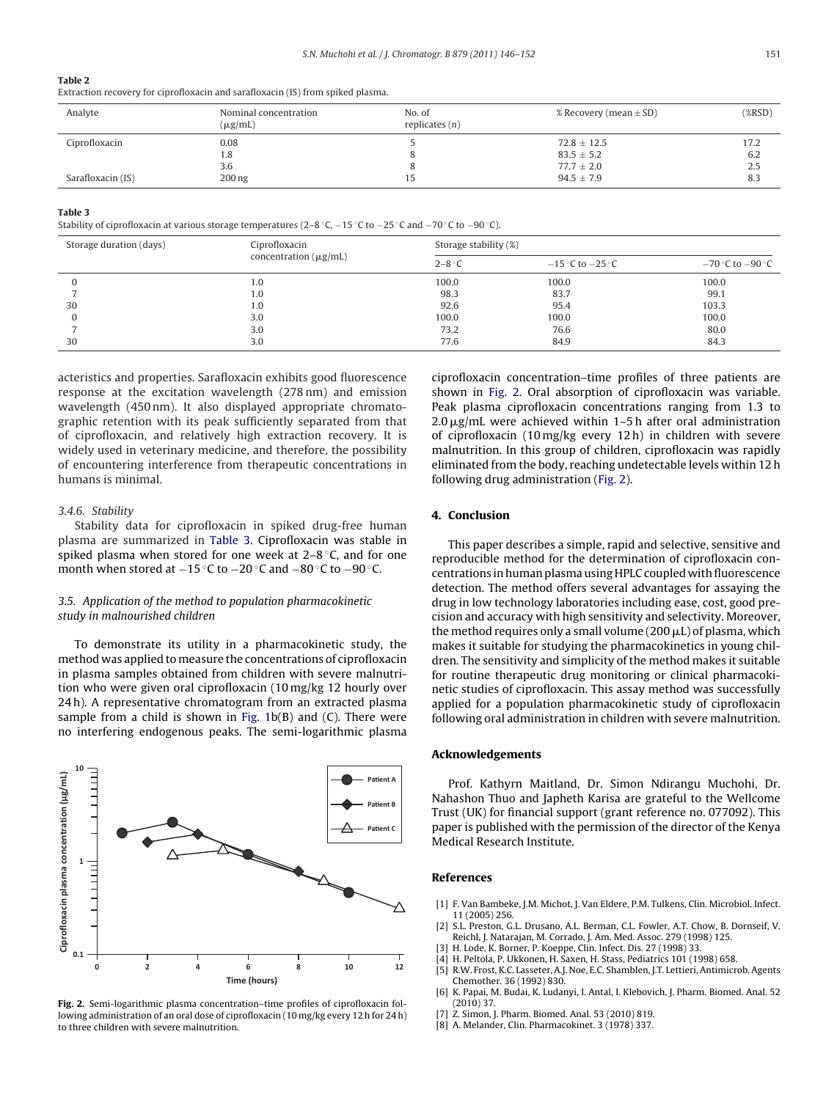#### <span id="page-5-0"></span>**Table 2**

Extraction recovery for ciprofloxacin and sarafloxacin (IS) from spiked plasma.

| Analyte           | Nominal concentration<br>$(\mu g/mL)$ | No. of<br>replicates $(n)$ | % Recovery (mean $\pm$ SD) | (XRSD) |
|-------------------|---------------------------------------|----------------------------|----------------------------|--------|
| Ciprofloxacin     | 0.08                                  |                            | $72.8 \pm 12.5$            | 17.2   |
|                   | 1.8                                   |                            | $83.5 \pm 5.2$             | 6.2    |
|                   | 3.6                                   | $\Omega$                   | $77.7 \pm 2.0$             | 2.5    |
| Sarafloxacin (IS) | $200$ ng                              | 15                         | $94.5 \pm 7.9$             | 8.3    |

#### **Table 3**

Stability of ciprofloxacin at various storage temperatures (2–8 ◦C, −15 ◦C to −25 ◦C and −70 ◦C to −90 ◦C).

| Storage duration (days) | Ciprofloxacin<br>concentration $(\mu g/mL)$ | Storage stability (%) |                      |                      |
|-------------------------|---------------------------------------------|-----------------------|----------------------|----------------------|
|                         |                                             | $2-8$ °C              | $-15$ °C to $-25$ °C | $-70$ °C to $-90$ °C |
|                         | 1.0                                         | 100.0                 | 100.0                | 100.0                |
|                         | 1.0                                         | 98.3                  | 83.7                 | 99.1                 |
| 30                      | 1.0                                         | 92.6                  | 95.4                 | 103.3                |
|                         | 3.0                                         | 100.0                 | 100.0                | 100.0                |
|                         | 3.0                                         | 73.2                  | 76.6                 | 80.0                 |
| 30                      | 3.0                                         | 77.6                  | 84.9                 | 84.3                 |

acteristics and properties. Sarafloxacin exhibits good fluorescence response at the excitation wavelength (278 nm) and emission wavelength (450 nm). It also displayed appropriate chromatographic retention with its peak sufficiently separated from that of ciprofloxacin, and relatively high extraction recovery. It is widely used in veterinary medicine, and therefore, the possibility of encountering interference from therapeutic concentrations in humans is minimal.

## 3.4.6. Stability

Stability data for ciprofloxacin in spiked drug-free human plasma are summarized in Table 3. Ciprofloxacin was stable in spiked plasma when stored for one week at 2–8 °C, and for one month when stored at −15 °C to −20 °C and −80 °C to −90 °C.

## 3.5. Application of the method to population pharmacokinetic study in malnourished children

To demonstrate its utility in a pharmacokinetic study, the method was applied to measure the concentrations of ciprofloxacin in plasma samples obtained from children with severe malnutrition who were given oral ciprofloxacin (10 mg/kg 12 hourly over 24 h). A representative chromatogram from an extracted plasma sample from a child is shown in Fig.  $1b(B)$  and (C). There were no interfering endogenous peaks. The semi-logarithmic plasma



**Fig. 2.** Semi-logarithmic plasma concentration–time profiles of ciprofloxacin following administration of an oral dose of ciprofloxacin (10 mg/kg every 12 h for 24 h) to three children with severe malnutrition.

ciprofloxacin concentration–time profiles of three patients are shown in Fig. 2. Oral absorption of ciprofloxacin was variable. Peak plasma ciprofloxacin concentrations ranging from 1.3 to  $2.0 \,\mathrm{\upmu g/mL}$  were achieved within 1–5 h after oral administration of ciprofloxacin (10 mg/kg every 12 h) in children with severe malnutrition. In this group of children, ciprofloxacin was rapidly eliminated from the body, reaching undetectable levels within 12 h following drug administration (Fig. 2).

## **4. Conclusion**

This paper describes a simple, rapid and selective, sensitive and reproducible method for the determination of ciprofloxacin concentrations in human plasma using HPLC coupled with fluorescence detection. The method offers several advantages for assaying the drug in low technology laboratories including ease, cost, good precision and accuracy with high sensitivity and selectivity. Moreover, the method requires only a small volume (200  $\mu$ L) of plasma, which makes it suitable for studying the pharmacokinetics in young children. The sensitivity and simplicity of the method makes it suitable for routine therapeutic drug monitoring or clinical pharmacokinetic studies of ciprofloxacin. This assay method was successfully applied for a population pharmacokinetic study of ciprofloxacin following oral administration in children with severe malnutrition.

#### **Acknowledgements**

Prof. Kathyrn Maitland, Dr. Simon Ndirangu Muchohi, Dr. Nahashon Thuo and Japheth Karisa are grateful to the Wellcome Trust (UK) for financial support (grant reference no. 077092). This paper is published with the permission of the director of the Kenya Medical Research Institute.

#### **References**

- [1] F. Van Bambeke, J.M. Michot, J. Van Eldere, P.M. Tulkens, Clin. Microbiol. Infect. 11 (2005) 256.
- [2] S.L. Preston, G.L. Drusano, A.L. Berman, C.L. Fowler, A.T. Chow, B. Dornseif, V. Reichl, J. Natarajan, M. Corrado, J. Am. Med. Assoc. 279 (1998) 125.
- H. Lode, K. Borner, P. Koeppe, Clin. Infect. Dis. 27 (1998) 33.
- H. Peltola, P. Ukkonen, H. Saxen, H. Stass, Pediatrics 101 (1998) 658. [5] R.W. Frost, K.C. Lasseter, A.J. Noe, E.C. Shamblen, J.T. Lettieri, Antimicrob. Agents
- Chemother. 36 (1992) 830. K. Papai, M. Budai, K. Ludanyi, I. Antal, I. Klebovich, J. Pharm. Biomed. Anal. 52
- (2010) 37.
- Z. Simon, J. Pharm. Biomed. Anal. 53 (2010) 819.
- [8] A. Melander, Clin. Pharmacokinet. 3 (1978) 337.